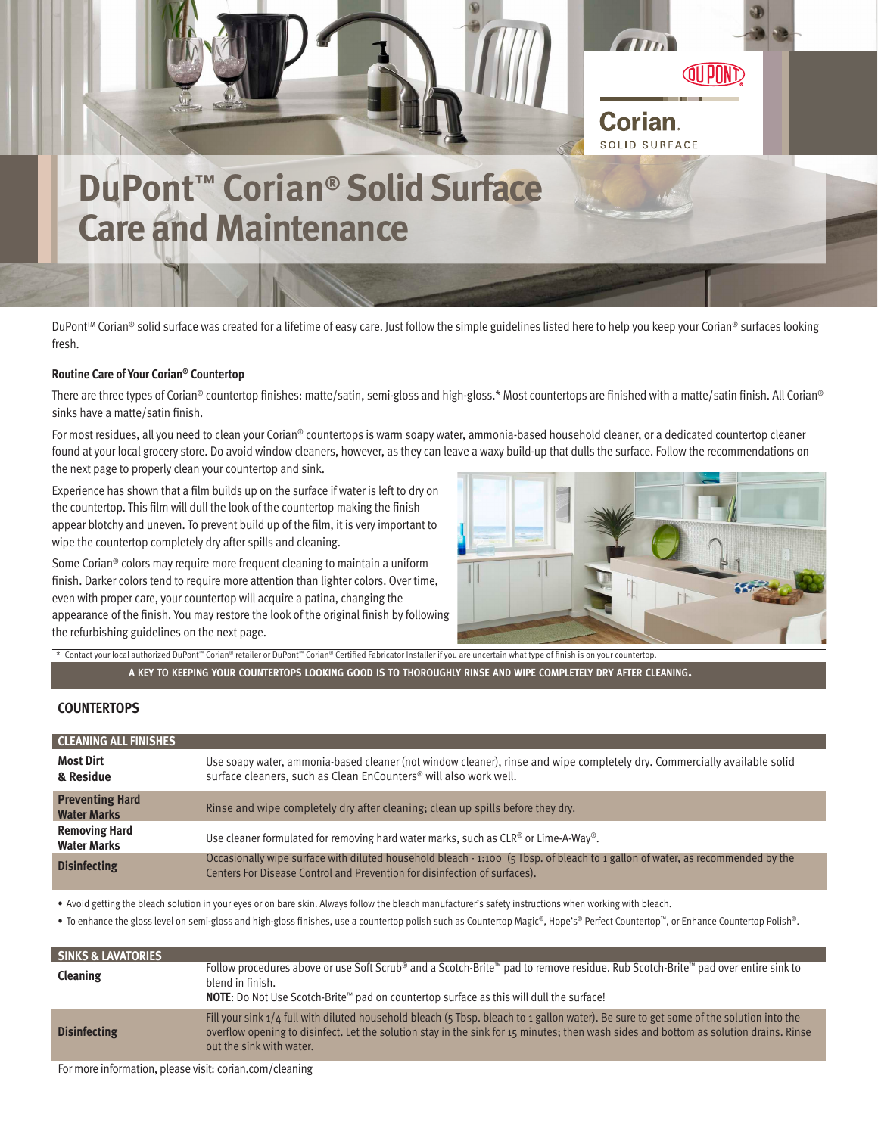

# **DuPont™ Corian® Solid Surface Care and Maintenance**

DuPont™ Corian® solid surface was created for a lifetime of easy care. Just follow the simple guidelines listed here to help you keep your Corian® surfaces looking fresh.

# **Routine Care of Your Corian® Countertop**

There are three types of Corian® countertop finishes: matte/satin, semi-gloss and high-gloss.\* Most countertops are finished with a matte/satin finish. All Corian® sinks have a matte/satin finish.

For most residues, all you need to clean your Corian® countertops is warm soapy water, ammonia-based household cleaner, or a dedicated countertop cleaner found at your local grocery store. Do avoid window cleaners, however, as they can leave a waxy build-up that dulls the surface. Follow the recommendations on the next page to properly clean your countertop and sink.

Experience has shown that a film builds up on the surface if water is left to dry on the countertop. This film will dull the look of the countertop making the finish appear blotchy and uneven. To prevent build up of the film, it is very important to wipe the countertop completely dry after spills and cleaning.

Some Corian® colors may require more frequent cleaning to maintain a uniform finish. Darker colors tend to require more attention than lighter colors. Over time, even with proper care, your countertop will acquire a patina, changing the appearance of the finish. You may restore the look of the original finish by following the refurbishing guidelines on the next page.



\* Contact your local authorized DuPont™ Corian® retailer or DuPont™ Corian® Certified Fabricator Installer if you are uncertain what type of finish is on your countertop.

A KEY TO KEEPING YOUR COUNTERTOPS LOOKING GOOD IS TO THOROUGHLY RINSE AND WIPE COMPLETELY DRY AFTER CLEANING.

## **COUNTERTOPS**

| <b>CLEANING ALL FINISHES</b>                 |                                                                                                                                                                                                             |
|----------------------------------------------|-------------------------------------------------------------------------------------------------------------------------------------------------------------------------------------------------------------|
| <b>Most Dirt</b><br>& Residue                | Use soapy water, ammonia-based cleaner (not window cleaner), rinse and wipe completely dry. Commercially available solid<br>surface cleaners, such as Clean EnCounters® will also work well.                |
| <b>Preventing Hard</b><br><b>Water Marks</b> | Rinse and wipe completely dry after cleaning; clean up spills before they dry.                                                                                                                              |
| <b>Removing Hard</b><br><b>Water Marks</b>   | Use cleaner formulated for removing hard water marks, such as CLR® or Lime-A-Way®.                                                                                                                          |
| <b>Disinfecting</b>                          | Occasionally wipe surface with diluted household bleach - 1:100 (5 Tbsp. of bleach to 1 gallon of water, as recommended by the<br>Centers For Disease Control and Prevention for disinfection of surfaces). |

• Avoid getting the bleach solution in your eyes or on bare skin. Always follow the bleach manufacturer's safety instructions when working with bleach.

• To enhance the gloss level on semi-gloss and high-gloss finishes, use a countertop polish such as Countertop Magic®, Hope's® Perfect Countertop™, or Enhance Countertop Polish®.

| <b>SINKS &amp; LAVATORIES</b> |                                                                                                                                                                                                                                                                                                               |
|-------------------------------|---------------------------------------------------------------------------------------------------------------------------------------------------------------------------------------------------------------------------------------------------------------------------------------------------------------|
| Cleaning                      | Follow procedures above or use Soft Scrub® and a Scotch-Brite™ pad to remove residue. Rub Scotch-Brite™ pad over entire sink to<br>blend in finish.<br>NOTE: Do Not Use Scotch-Brite™ pad on countertop surface as this will dull the surface!                                                                |
| <b>Disinfecting</b>           | Fill your sink $1/4$ full with diluted household bleach (5 Tbsp. bleach to 1 gallon water). Be sure to get some of the solution into the<br>overflow opening to disinfect. Let the solution stay in the sink for 15 minutes; then wash sides and bottom as solution drains. Rinse<br>out the sink with water. |

For more information, please visit: corian.com/cleaning